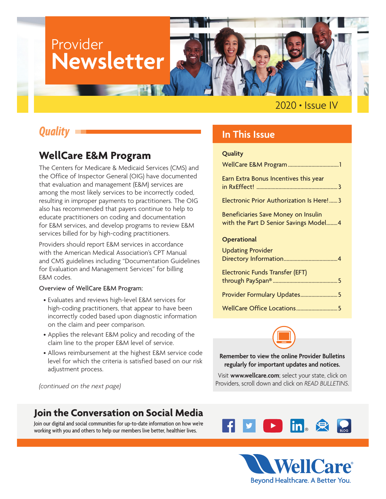# Provider **Newsletter**

2020 **•** Issue IV

## *Quality*

### **WellCare E&M Program**

The Centers for Medicare & Medicaid Services (CMS) and the Office of Inspector General (OIG) have documented that evaluation and management (E&M) services are among the most likely services to be incorrectly coded, resulting in improper payments to practitioners. The OIG also has recommended that payers continue to help to educate practitioners on coding and documentation for E&M services, and develop programs to review E&M services billed for by high-coding practitioners.

Providers should report E&M services in accordance with the American Medical Association's CPT Manual and CMS guidelines including "Documentation Guidelines for Evaluation and Management Services" for billing E&M codes.

#### Overview of WellCare E&M Program:

- Evaluates and reviews high-level E&M services for high-coding practitioners, that appear to have been incorrectly coded based upon diagnostic information on the claim and peer comparison.
- Applies the relevant E&M policy and recoding of the claim line to the proper E&M level of service.
- Allows reimbursement at the highest E&M service code level for which the criteria is satisfied based on our risk adjustment process.

*(continued on the next page)*

### **Join the Conversation on Social Media**

Join our digital and social communities for up-to-date information on how we're working with you and others to help our members live better, healthier lives.

### **In This Issue**

#### **Quality**

| Earn Extra Bonus Incentives this year                                         |
|-------------------------------------------------------------------------------|
| Electronic Prior Authorization Is Here! 3                                     |
| Beneficiaries Save Money on Insulin<br>with the Part D Senior Savings Model 4 |
| <b>Operational</b>                                                            |
| <b>Updating Provider</b>                                                      |
| Electronic Funds Transfer (EFT)                                               |
| Provider Formulary Updates5                                                   |
|                                                                               |



**Remember to view the online Provider Bulletins regularly for important updates and notices.** 

Visit **<www.wellcare.com>**; select your state, click on Providers, scroll down and click on *READ BULLETINS*.



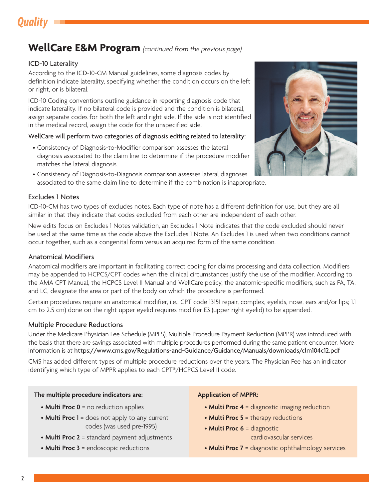## *Quality*

### **WellCare E&M Program** *(continued from the previous page)*

#### ICD-10 Laterality

According to the ICD-10-CM Manual guidelines, some diagnosis codes by definition indicate laterality, specifying whether the condition occurs on the left or right, or is bilateral.

ICD-10 Coding conventions outline guidance in reporting diagnosis code that indicate laterality. If no bilateral code is provided and the condition is bilateral, assign separate codes for both the left and right side. If the side is not identified in the medical record, assign the code for the unspecified side.

#### WellCare will perform two categories of diagnosis editing related to laterality:

- Consistency of Diagnosis-to-Modifier comparison assesses the lateral diagnosis associated to the claim line to determine if the procedure modifier matches the lateral diagnosis.
- Consistency of Diagnosis-to-Diagnosis comparison assesses lateral diagnoses associated to the same claim line to determine if the combination is inappropriate.

#### Excludes 1 Notes



ICD-10-CM has two types of excludes notes. Each type of note has a different definition for use, but they are all similar in that they indicate that codes excluded from each other are independent of each other.

New edits focus on Excludes 1 Notes validation, an Excludes 1 Note indicates that the code excluded should never be used at the same time as the code above the Excludes 1 Note. An Excludes 1 is used when two conditions cannot occur together, such as a congenital form versus an acquired form of the same condition.

#### Anatomical Modifiers

Anatomical modifiers are important in facilitating correct coding for claims processing and data collection. Modifiers may be appended to HCPCS/CPT codes when the clinical circumstances justify the use of the modifier. According to the AMA CPT Manual, the HCPCS Level II Manual and WellCare policy, the anatomic-specific modifiers, such as FA, TA, and LC, designate the area or part of the body on which the procedure is performed.

Certain procedures require an anatomical modifier, i.e., CPT code 13151 repair, complex, eyelids, nose, ears and/or lips; 1.1 cm to 2.5 cm) done on the right upper eyelid requires modifier E3 (upper right eyelid) to be appended.

#### Multiple Procedure Reductions

Under the Medicare Physician Fee Schedule (MPFS), Multiple Procedure Payment Reduction (MPPR) was introduced with the basis that there are savings associated with multiple procedures performed during the same patient encounter. More information is at <https://www.cms.gov/Regulations-and-Guidance/Guidance/Manuals/downloads/clm104c12.pdf>

CMS has added different types of multiple procedure reductions over the years. The Physician Fee has an indicator identifying which type of MPPR applies to each CPT®/HCPCS Level II code.

#### **The multiple procedure indicators are:**

- **Multi Proc 0** = no reduction applies
- **Multi Proc 1** = does not apply to any current codes (was used pre-1995)
- **Multi Proc 2** = standard payment adjustments
- **Multi Proc 3** = endoscopic reductions

#### **Application of MPPR:**

- **Multi Proc 4** = diagnostic imaging reduction
- **Multi Proc 5** = therapy reductions
- **Multi Proc 6** = diagnostic cardiovascular services
- **Multi Proc 7** = diagnostic ophthalmology services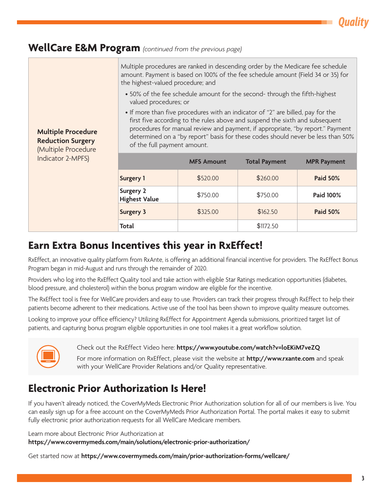*Quality*

### <span id="page-2-0"></span>**WellCare E&M Program** *(continued from the previous page)*

| <b>Multiple Procedure</b><br><b>Reduction Surgery</b><br>(Multiple Procedure<br>Indicator 2-MPFS) | Multiple procedures are ranked in descending order by the Medicare fee schedule<br>amount. Payment is based on 100% of the fee schedule amount (Field 34 or 35) for<br>the highest-valued procedure; and<br>• 50% of the fee schedule amount for the second- through the fifth-highest<br>valued procedures; or<br>• If more than five procedures with an indicator of "2" are billed, pay for the<br>first five according to the rules above and suspend the sixth and subsequent<br>procedures for manual review and payment, if appropriate, "by report." Payment<br>determined on a "by report" basis for these codes should never be less than 50%<br>of the full payment amount. |                   |                      |                    |
|---------------------------------------------------------------------------------------------------|----------------------------------------------------------------------------------------------------------------------------------------------------------------------------------------------------------------------------------------------------------------------------------------------------------------------------------------------------------------------------------------------------------------------------------------------------------------------------------------------------------------------------------------------------------------------------------------------------------------------------------------------------------------------------------------|-------------------|----------------------|--------------------|
|                                                                                                   |                                                                                                                                                                                                                                                                                                                                                                                                                                                                                                                                                                                                                                                                                        | <b>MFS Amount</b> | <b>Total Payment</b> | <b>MPR Payment</b> |
|                                                                                                   | <b>Surgery 1</b>                                                                                                                                                                                                                                                                                                                                                                                                                                                                                                                                                                                                                                                                       | \$520.00          | \$260.00             | <b>Paid 50%</b>    |
|                                                                                                   | <b>Surgery 2</b><br><b>Highest Value</b>                                                                                                                                                                                                                                                                                                                                                                                                                                                                                                                                                                                                                                               | \$750.00          | \$750.00             | Paid 100%          |
|                                                                                                   | <b>Surgery 3</b>                                                                                                                                                                                                                                                                                                                                                                                                                                                                                                                                                                                                                                                                       | \$325.00          | \$162.50             | <b>Paid 50%</b>    |
|                                                                                                   | Total                                                                                                                                                                                                                                                                                                                                                                                                                                                                                                                                                                                                                                                                                  |                   | \$1172.50            |                    |

### **Earn Extra Bonus Incentives this year in RxEffect!**

RxEffect, an innovative quality platform from RxAnte, is offering an additional financial incentive for providers. The RxEffect Bonus Program began in mid-August and runs through the remainder of 2020.

Providers who log into the RxEffect Quality tool and take action with eligible Star Ratings medication opportunities (diabetes, blood pressure, and cholesterol) within the bonus program window are eligible for the incentive.

The RxEffect tool is free for WellCare providers and easy to use. Providers can track their progress through RxEffect to help their patients become adherent to their medications. Active use of the tool has been shown to improve quality measure outcomes.

Looking to improve your office efficiency? Utilizing RxEffect for Appointment Agenda submissions, prioritized target list of patients, and capturing bonus program eligible opportunities in one tool makes it a great workflow solution.



Check out the RxEffect Video here: **<https://www.youtube.com/watch?v=loEKiM7veZQ>**

For more information on RxEffect, please visit the website at **<http://www.rxante.com>** and speak with your WellCare Provider Relations and/or Quality representative.

## **Electronic Prior Authorization Is Here!**

If you haven't already noticed, the CoverMyMeds Electronic Prior Authorization solution for all of our members is live. You can easily sign up for a free account on the CoverMyMeds Prior Authorization Portal. The portal makes it easy to submit fully electronic prior authorization requests for all WellCare Medicare members.

Learn more about Electronic Prior Authorization at **<https://www.covermymeds.com/main/solutions/electronic-prior-authorization/>**

Get started now at **<https://www.covermymeds.com/main/prior-authorization-forms/wellcare/>**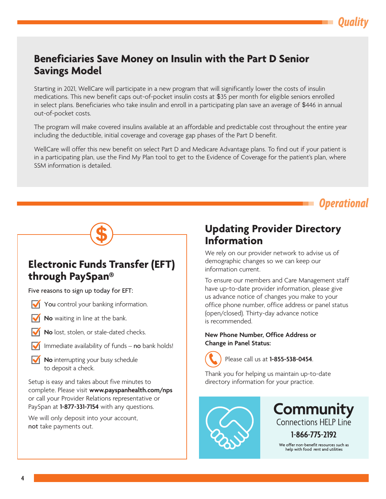### <span id="page-3-0"></span>**Beneficiaries Save Money on Insulin with the Part D Senior Savings Model**

Starting in 2021, WellCare will participate in a new program that will significantly lower the costs of insulin medications. This new benefit caps out-of-pocket insulin costs at \$35 per month for eligible seniors enrolled in select plans. Beneficiaries who take insulin and enroll in a participating plan save an average of \$446 in annual out-of-pocket costs.

The program will make covered insulins available at an affordable and predictable cost throughout the entire year including the deductible, initial coverage and coverage gap phases of the Part D benefit.

WellCare will offer this new benefit on select Part D and Medicare Advantage plans. To find out if your patient is in a participating plan, use the Find My Plan tool to get to the Evidence of Coverage for the patient's plan, where SSM information is detailed.



### **Electronic Funds Transfer (EFT) through PaySpan®**

Five reasons to sign up today for EFT:

- You control your banking information.
- **No** waiting in line at the bank.
- **No** lost, stolen, or stale-dated checks.
- Immediate availability of funds no bank holds!
- **No** interrupting your busy schedule to deposit a check.

Setup is easy and takes about five minutes to complete. Please visit **<www.payspanhealth.com/nps>** or call your Provider Relations representative or PaySpan at **1-877-331-7154** with any questions.

We will only deposit into your account, not take payments out.

### **Updating Provider Directory Information**

We rely on our provider network to advise us of demographic changes so we can keep our information current.

To ensure our members and Care Management staff have up-to-date provider information, please give us advance notice of changes you make to your office phone number, office address or panel status (open/closed). Thirty-day advance notice is recommended.

#### **New Phone Number, Office Address or Change in Panel Status:**



Please call us at **1-855-538-0454**.

Thank you for helping us maintain up-to-date directory information for your practice.



**Community Connections HELP Line** 1-866-775-2192 We offer non-benefit resources such as

help with food rent and utilities

*Quality*

*Operational*